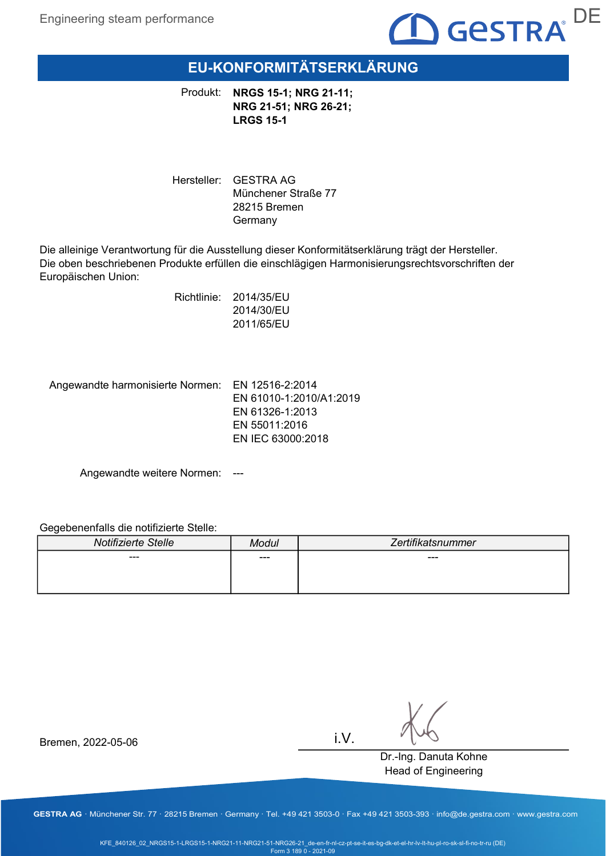

# EU-KONFORMITÄTSERKLÄRUNG

Produkt: NRGS 15-1; NRG 21-11; NRG 21-51; NRG 26-21; LRGS 15-1

Hersteller: GESTRA AG Münchener Straße 77 28215 Bremen Germany

Die alleinige Verantwortung für die Ausstellung dieser Konformitätserklärung trägt der Hersteller. Die oben beschriebenen Produkte erfüllen die einschlägigen Harmonisierungsrechtsvorschriften der Europäischen Union:

> Richtlinie: 2014/35/EU 2014/30/EU 2011/65/EU

Angewandte harmonisierte Normen: EN 12516-2:2014

EN 61010-1:2010/A1:2019 EN 61326-1:2013 EN 55011:2016 EN IEC 63000:2018

Angewandte weitere Normen: ---

#### Gegebenenfalls die notifizierte Stelle:

| Notifizierte Stelle | Modul | Zertifikatsnummer |
|---------------------|-------|-------------------|
| $- - -$             | ---   | ---               |
|                     |       |                   |
|                     |       |                   |

i.V.

Dr.-Ing. Danuta Kohne Head of Engineering

Bremen, 2022-05-06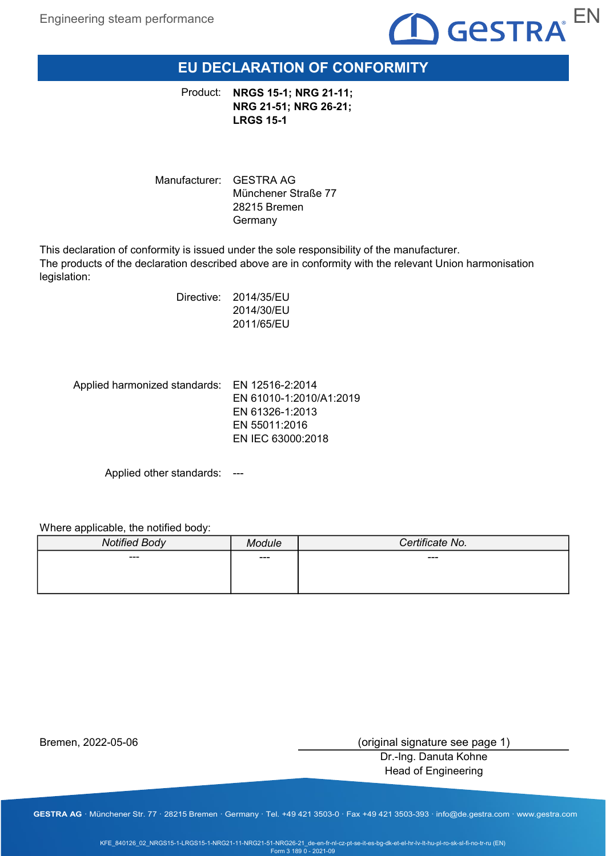

## EU DECLARATION OF CONFORMITY

Product: NRGS 15-1; NRG 21-11; NRG 21-51; NRG 26-21; LRGS 15-1

Manufacturer: GESTRA AG Münchener Straße 77 28215 Bremen Germany

This declaration of conformity is issued under the sole responsibility of the manufacturer. The products of the declaration described above are in conformity with the relevant Union harmonisation legislation:

> Directive: 2014/35/EU 2014/30/EU 2011/65/EU

Applied harmonized standards: EN 12516-2:2014 EN 61010-1:2010/A1:2019 EN 61326-1:2013 EN 55011:2016 EN IEC 63000:2018

Applied other standards: ---

Where applicable, the notified body:

| <b>Notified Body</b> | odule | Certificate No. |
|----------------------|-------|-----------------|
| ---                  | ---   | ---             |
|                      |       |                 |

Bremen, 2022-05-06

(original signature see page 1)

Dr.-Ing. Danuta Kohne Head of Engineering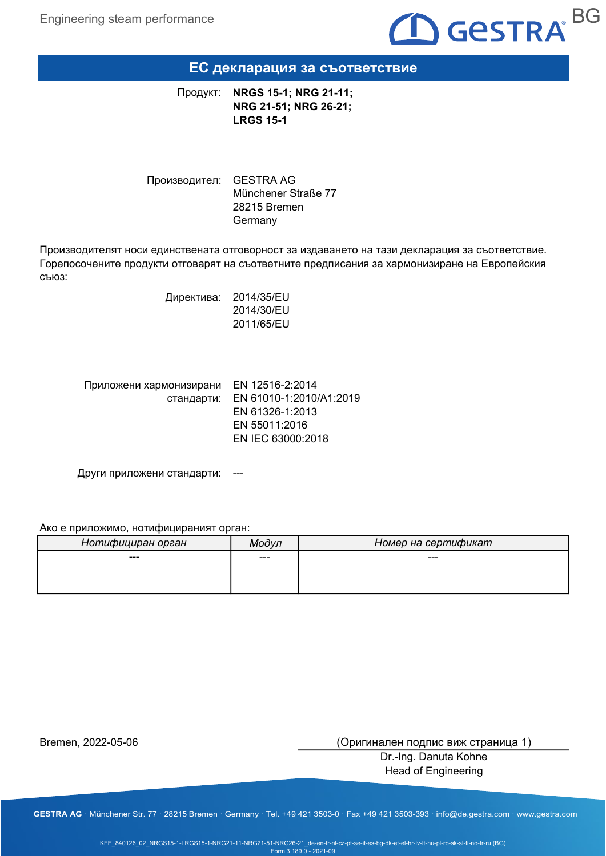

## ЕС декларация за съответствие

NRGS 15-1; NRG 21-11; NRG 21-51; NRG 26-21; LRGS 15-1 Продукт:

Производител: GESTRA AG Münchener Straße 77 28215 Bremen Germany

Производителят носи единствената отговорност за издаването на тази декларация за съответствие. Горепосочените продукти отговарят на съответните предписания за хармонизиране на Европейския съюз:

> Директива: 2014/35/EU 2014/30/EU 2011/65/EU

| Приложени хармонизирани EN 12516-2:2014 |                                    |
|-----------------------------------------|------------------------------------|
|                                         | стандарти: EN 61010-1:2010/A1:2019 |
|                                         | EN 61326-1:2013                    |
|                                         | EN 55011:2016                      |
|                                         | EN IEC 63000:2018                  |

Други приложени стандарти: ---

#### Ако е приложимо, нотифицираният орган:

| Нотифициран орган | Модул | Номер на сертификат |
|-------------------|-------|---------------------|
| ---               | ---   | ---                 |
|                   |       |                     |
|                   |       |                     |

Bremen, 2022-05-06

(Оригинален подпис виж страница 1)

Dr.-Ing. Danuta Kohne Head of Engineering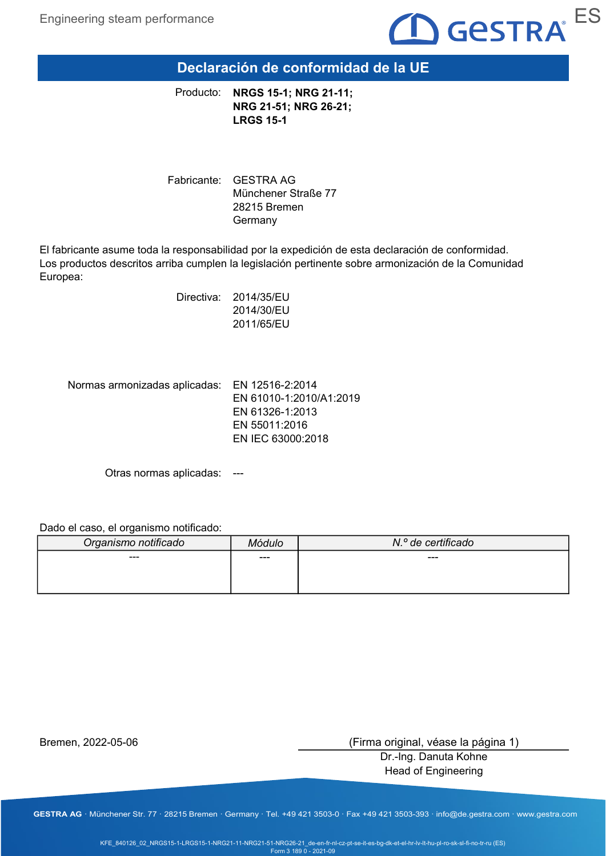

Declaración de conformidad de la UE

NRGS 15-1; NRG 21-11; NRG 21-51; NRG 26-21; LRGS 15-1 Producto:

Fabricante: GESTRA AG Münchener Straße 77 28215 Bremen Germany

El fabricante asume toda la responsabilidad por la expedición de esta declaración de conformidad. Los productos descritos arriba cumplen la legislación pertinente sobre armonización de la Comunidad Europea:

> Directiva: 2014/35/EU 2014/30/EU 2011/65/EU

Normas armonizadas aplicadas: EN 12516-2:2014

EN 61010-1:2010/A1:2019 EN 61326-1:2013 EN 55011:2016 EN IEC 63000:2018

Otras normas aplicadas: ---

Dado el caso, el organismo notificado:

| Organismo notificado | Módulo | N.º de certificado |
|----------------------|--------|--------------------|
| $---$                | ---    | ---                |
|                      |        |                    |
|                      |        |                    |

Bremen, 2022-05-06

(Firma original, véase la página 1)

Dr.-Ing. Danuta Kohne Head of Engineering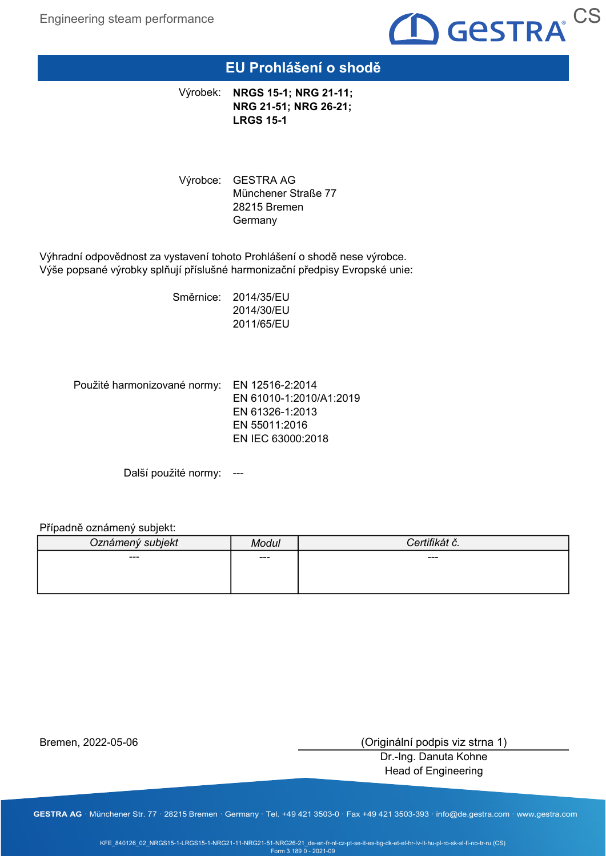

## EU Prohlášení o shodě

Výrobek: NRGS 15-1; NRG 21-11; NRG 21-51; NRG 26-21; LRGS 15-1

Výrobce: GESTRA AG Münchener Straße 77 28215 Bremen **Germany** 

Výhradní odpovědnost za vystavení tohoto Prohlášení o shodě nese výrobce. Výše popsané výrobky splňují příslušné harmonizační předpisy Evropské unie:

> Směrnice: 2014/35/EU 2014/30/EU 2011/65/EU

Použité harmonizované normy: EN 12516-2:2014 EN 61010-1:2010/A1:2019 EN 61326-1:2013 EN 55011:2016 EN IEC 63000:2018

Další použité normy: ---

#### Případně oznámený subjekt:

| Oznámený subjekt | Modul |     |
|------------------|-------|-----|
| ---              | ---   | --- |
|                  |       |     |
|                  |       |     |

Bremen, 2022-05-06

(Originální podpis viz strna 1)

Dr.-Ing. Danuta Kohne Head of Engineering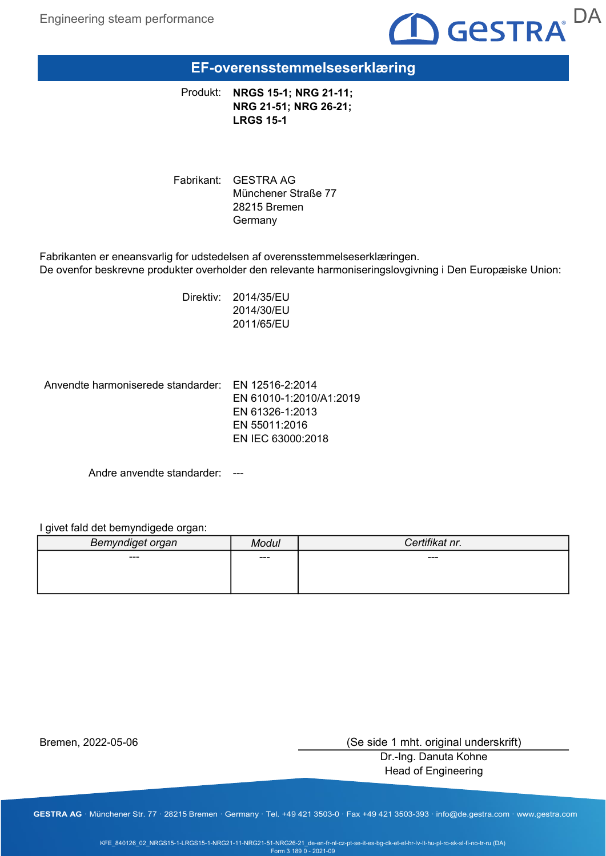

EF-overensstemmelseserklæring

Produkt: NRGS 15-1; NRG 21-11; NRG 21-51; NRG 26-21; LRGS 15-1

Fabrikant: GESTRA AG Münchener Straße 77 28215 Bremen Germany

Fabrikanten er eneansvarlig for udstedelsen af overensstemmelseserklæringen. De ovenfor beskrevne produkter overholder den relevante harmoniseringslovgivning i Den Europæiske Union:

> Direktiv: 2014/35/EU 2014/30/EU 2011/65/EU

Anvendte harmoniserede standarder: EN 12516-2:2014

EN 61010-1:2010/A1:2019 EN 61326-1:2013 EN 55011:2016 EN IEC 63000:2018

Andre anvendte standarder: ---

I givet fald det bemyndigede organ:

| Bemyndiget organ | <b>Modul</b> | Certifikat nr. |
|------------------|--------------|----------------|
| ---              | ---          | ---            |
|                  |              |                |
|                  |              |                |

Bremen, 2022-05-06

(Se side 1 mht. original underskrift)

Dr.-Ing. Danuta Kohne Head of Engineering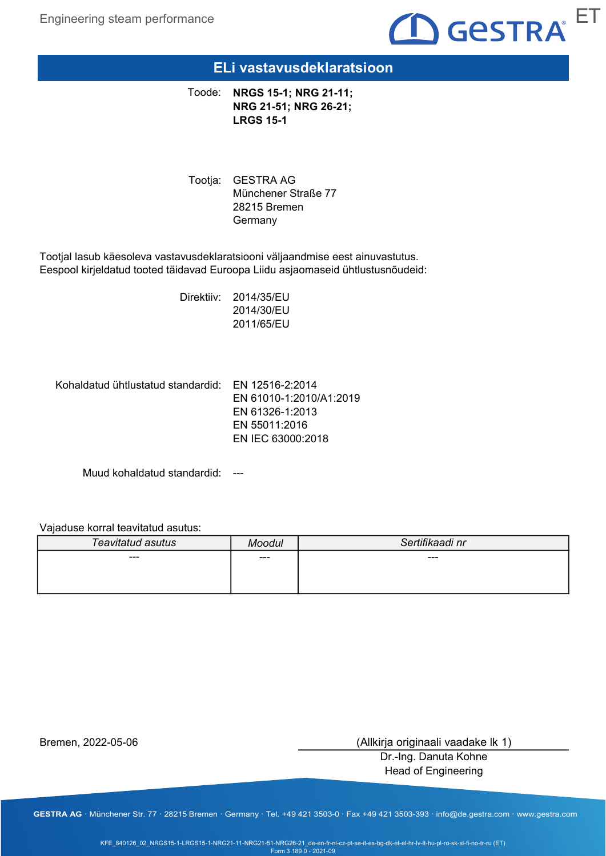

### ELi vastavusdeklaratsioon

Toode: NRGS 15-1; NRG 21-11; NRG 21-51; NRG 26-21; LRGS 15-1

Tootja: GESTRA AG Münchener Straße 77 28215 Bremen Germany

Tootjal lasub käesoleva vastavusdeklaratsiooni väljaandmise eest ainuvastutus. Eespool kirjeldatud tooted täidavad Euroopa Liidu asjaomaseid ühtlustusnõudeid:

> Direktiiv: 2014/35/EU 2014/30/EU 2011/65/EU

Kohaldatud ühtlustatud standardid: EN 12516-2:2014

EN 61010-1:2010/A1:2019 EN 61326-1:2013 EN 55011:2016 EN IEC 63000:2018

Muud kohaldatud standardid: ---

Vajaduse korral teavitatud asutus:

| Teavitatud asutus | Moodul | Sertifikaadi nr |
|-------------------|--------|-----------------|
| ---               | ---    | ---             |
|                   |        |                 |
|                   |        |                 |

Bremen, 2022-05-06

(Allkirja originaali vaadake lk 1)

Dr.-Ing. Danuta Kohne Head of Engineering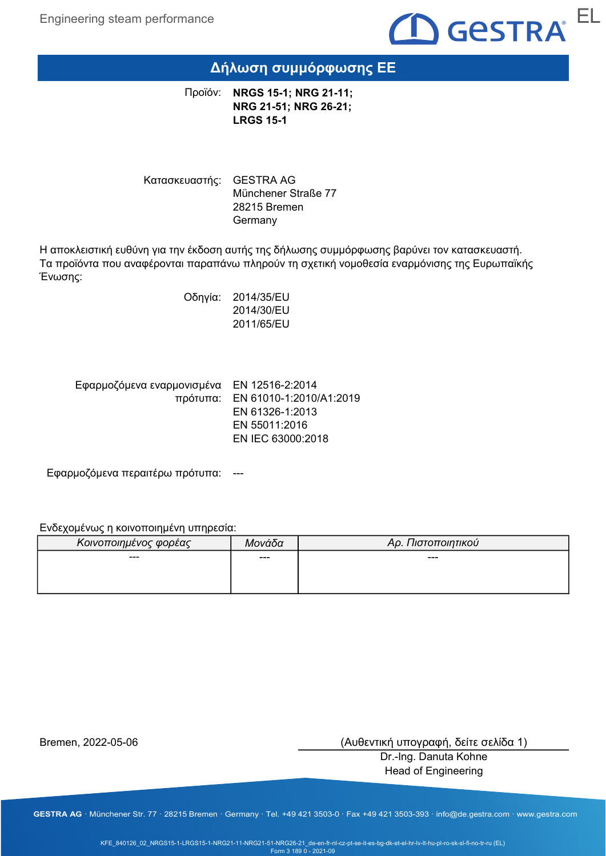

## Δήλωση συμμόρφωσης ΕΕ

Προϊόν: **NRGS 15-1; NRG 21-11;** NRG 21-51; NRG 26-21; LRGS 15-1

Κατασκευαστής: GESTRA AG Münchener Straße 77 28215 Bremen Germany

Η αποκλειστική ευθύνη για την έκδοση αυτής της δήλωσης συμμόρφωσης βαρύνει τον κατασκευαστή. Τα προϊόντα που αναφέρονται παραπάνω πληρούν τη σχετική νομοθεσία εναρμόνισης της Ευρωπαϊκής Ένωσης:

> Οδηγία: 2014/35/EU 2014/30/EU 2011/65/EU

Εφαρμοζόμενα εναρμονισμένα EN 12516-2:2014 πρότυπα: EN 61010-1:2010/A1:2019 EN 61326-1:2013 EN 55011:2016 EN IEC 63000:2018

Εφαρμοζόμενα περαιτέρω πρότυπα: ---

Ενδεχομένως η κοινοποιημένη υπηρεσία:

| Κοινοποιημένος φορέας | Μονάδα | Αρ. Πιστοποιητικού |
|-----------------------|--------|--------------------|
| ---                   | ---    | ---                |
|                       |        |                    |
|                       |        |                    |

Bremen, 2022-05-06

(Αυθεντική υπογραφή, δείτε σελίδα 1)

Dr.-Ing. Danuta Kohne Head of Engineering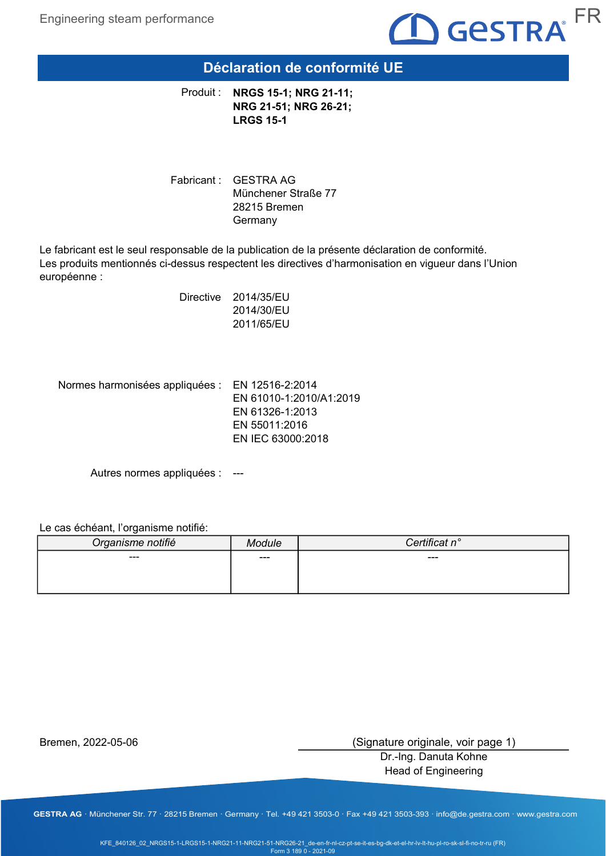

### Déclaration de conformité UE

Produit : NRGS 15-1; NRG 21-11; NRG 21-51; NRG 26-21; LRGS 15-1

Fabricant : GESTRA AG Münchener Straße 77 28215 Bremen Germany

Le fabricant est le seul responsable de la publication de la présente déclaration de conformité. Les produits mentionnés ci-dessus respectent les directives d'harmonisation en vigueur dans l'Union européenne :

> Directive 2014/35/EU 2014/30/EU 2011/65/EU

Normes harmonisées appliquées : EN 12516-2:2014

EN 61010-1:2010/A1:2019 EN 61326-1:2013 EN 55011:2016 EN IEC 63000:2018

Autres normes appliquées : ---

Le cas échéant, l'organisme notifié:

| Organisme notifié | ้าdule | Certificat n° |
|-------------------|--------|---------------|
| $---$             | ---    | $---$         |
|                   |        |               |
|                   |        |               |

Bremen, 2022-05-06

(Signature originale, voir page 1)

Dr.-Ing. Danuta Kohne Head of Engineering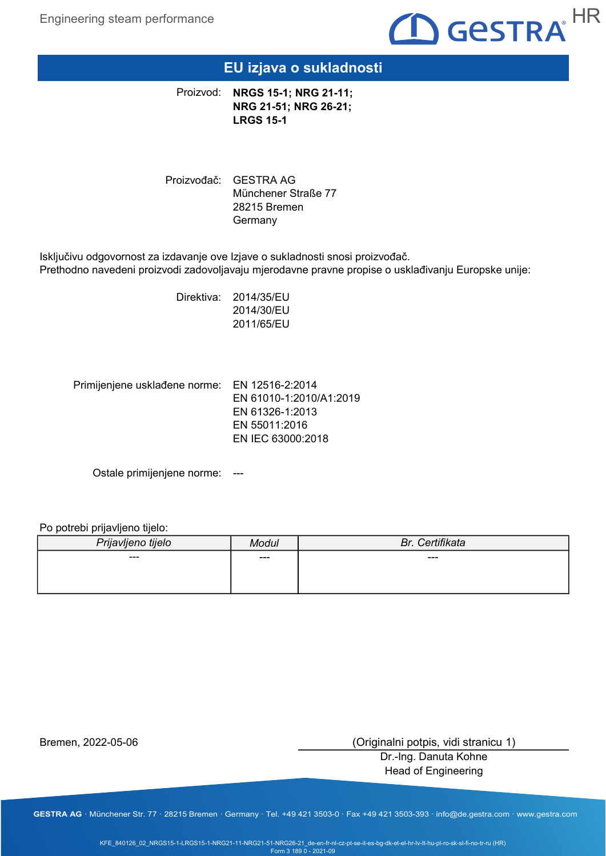

### EU izjava o sukladnosti

Proizvod: NRGS 15-1; NRG 21-11; NRG 21-51; NRG 26-21; LRGS 15-1

Proizvođač: GESTRA AG Münchener Straße 77 28215 Bremen **Germany** 

Isključivu odgovornost za izdavanje ove Izjave o sukladnosti snosi proizvođač. Prethodno navedeni proizvodi zadovoljavaju mjerodavne pravne propise o usklađivanju Europske unije:

> Direktiva: 2014/35/EU 2014/30/EU 2011/65/EU

Primijenjene usklađene norme: EN 12516-2:2014 EN 61010-1:2010/A1:2019 EN 61326-1:2013 EN 55011:2016 EN IEC 63000:2018

Ostale primijenjene norme: ---

Po potrebi prijavljeno tijelo:

| Prijavljeno tijelo | Modul | Br. Certifikata |
|--------------------|-------|-----------------|
| $--$               | ---   | ---             |
|                    |       |                 |
|                    |       |                 |

Bremen, 2022-05-06

(Originalni potpis, vidi stranicu 1)

Dr.-Ing. Danuta Kohne Head of Engineering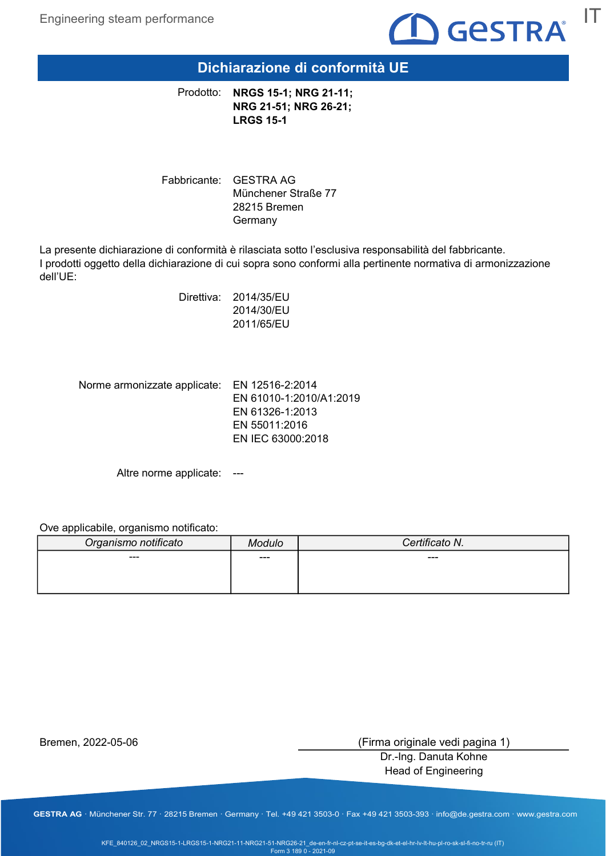

Dichiarazione di conformità UE

Prodotto: NRGS 15-1; NRG 21-11; NRG 21-51; NRG 26-21; LRGS 15-1

Fabbricante: GESTRA AG Münchener Straße 77 28215 Bremen Germany

La presente dichiarazione di conformità è rilasciata sotto l'esclusiva responsabilità del fabbricante. I prodotti oggetto della dichiarazione di cui sopra sono conformi alla pertinente normativa di armonizzazione dell'UE:

> Direttiva: 2014/35/EU 2014/30/EU 2011/65/EU

Norme armonizzate applicate: EN 12516-2:2014

EN 61010-1:2010/A1:2019 EN 61326-1:2013 EN 55011:2016 EN IEC 63000:2018

Altre norme applicate: ---

Ove applicabile, organismo notificato:

| Organismo notificato | 1odulo | Certificato N. |
|----------------------|--------|----------------|
| ---                  | ---    | ---            |
|                      |        |                |
|                      |        |                |

Bremen, 2022-05-06

(Firma originale vedi pagina 1)

Dr.-Ing. Danuta Kohne Head of Engineering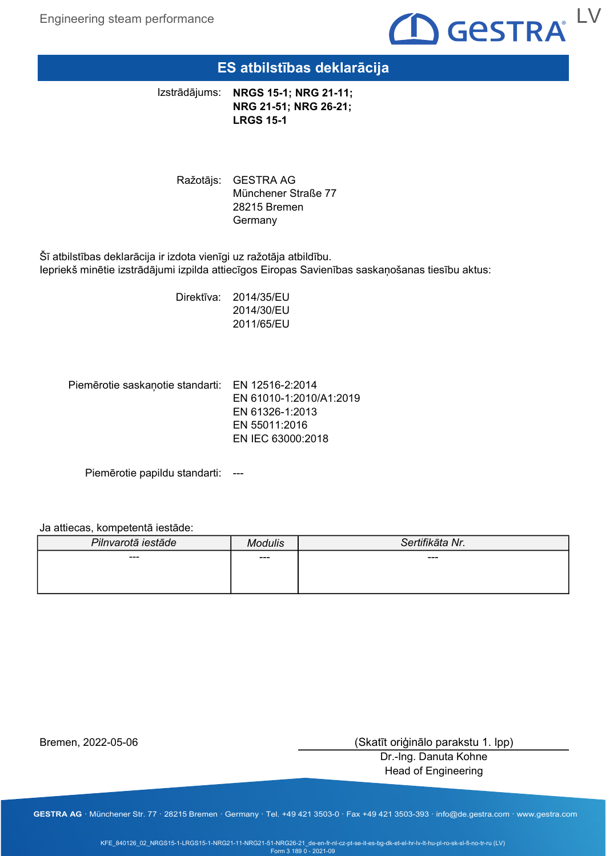Engineering steam performance



### ES atbilstības deklarācija

NRGS 15-1; NRG 21-11; NRG 21-51; NRG 26-21; LRGS 15-1 Izstrādājums:

Ražotājs: GESTRA AG Münchener Straße 77 28215 Bremen Germany

Šī atbilstības deklarācija ir izdota vienīgi uz ražotāja atbildību. Iepriekš minētie izstrādājumi izpilda attiecīgos Eiropas Savienības saskaņošanas tiesību aktus:

> Direktīva: 2014/35/EU 2014/30/EU 2011/65/EU

Piemērotie saskaņotie standarti: EN 12516-2:2014

EN 61010-1:2010/A1:2019 EN 61326-1:2013 EN 55011:2016 EN IEC 63000:2018

Piemērotie papildu standarti: ---

#### Ja attiecas, kompetentā iestāde:

| Pilnvarotā iestāde | Modulis | Sertifikāta Nr. |
|--------------------|---------|-----------------|
| ---                | ---     | ---             |
|                    |         |                 |
|                    |         |                 |

Bremen, 2022-05-06

(Skatīt oriģinālo parakstu 1. lpp)

Dr.-Ing. Danuta Kohne Head of Engineering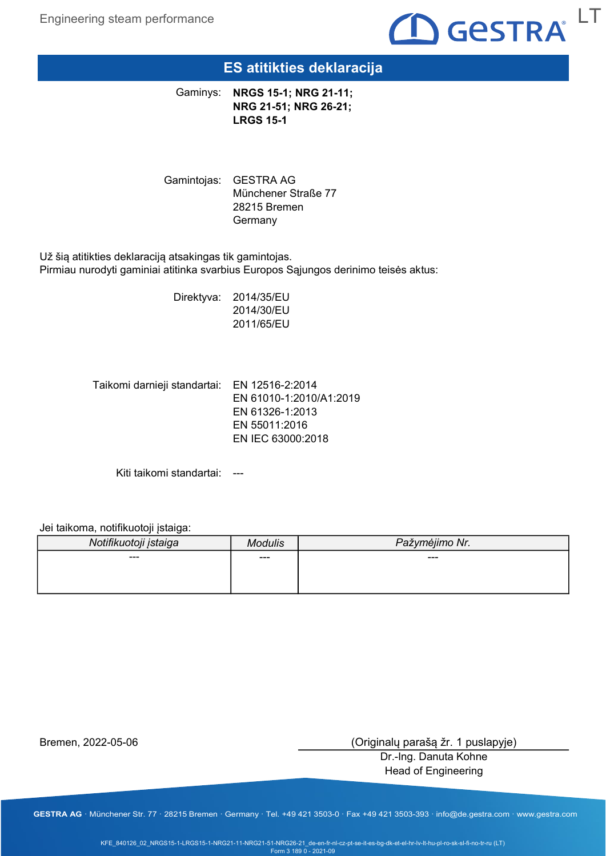

## ES atitikties deklaracija

Gaminys: NRGS 15-1; NRG 21-11; NRG 21-51; NRG 26-21; LRGS 15-1

Gamintojas: GESTRA AG Münchener Straße 77 28215 Bremen Germany

Už šią atitikties deklaraciją atsakingas tik gamintojas. Pirmiau nurodyti gaminiai atitinka svarbius Europos Sąjungos derinimo teisės aktus:

> Direktyva: 2014/35/EU 2014/30/EU 2011/65/EU

Taikomi darnieji standartai: EN 12516-2:2014 EN 61010-1:2010/A1:2019 EN 61326-1:2013 EN 55011:2016 EN IEC 63000:2018

Kiti taikomi standartai: ---

Jei taikoma, notifikuotoji įstaiga:

| Notifikuotoji įstaiga | ⁄lodulis | Pažymėjimo Nr. |
|-----------------------|----------|----------------|
| ---                   | $--$     | ---            |
|                       |          |                |

Bremen, 2022-05-06

(Originalų parašą žr. 1 puslapyje)

Dr.-Ing. Danuta Kohne Head of Engineering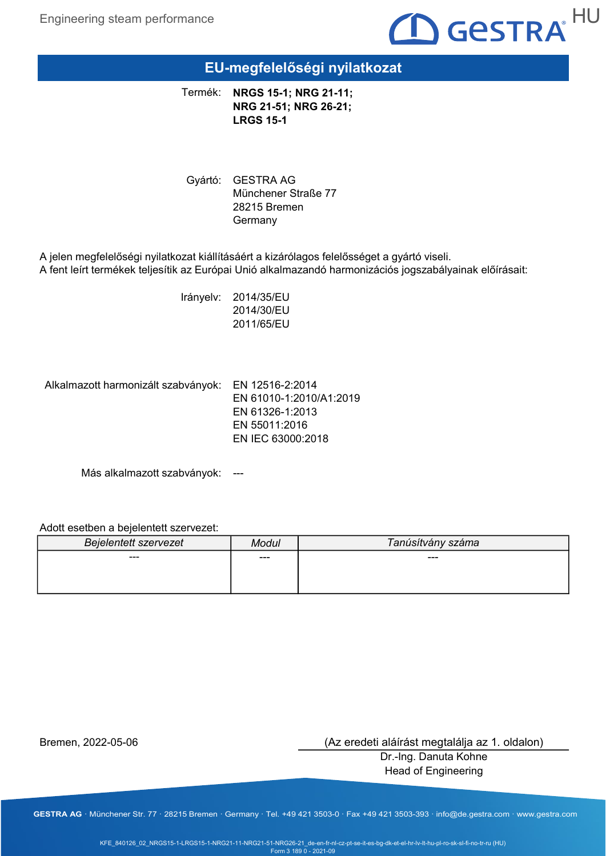

## EU-megfelelőségi nyilatkozat

NRGS 15-1; NRG 21-11; NRG 21-51; NRG 26-21; LRGS 15-1 Termék:

Gyártó: GESTRA AG Münchener Straße 77 28215 Bremen Germany

A jelen megfelelőségi nyilatkozat kiállításáért a kizárólagos felelősséget a gyártó viseli. A fent leírt termékek teljesítik az Európai Unió alkalmazandó harmonizációs jogszabályainak előírásait:

> Irányelv: 2014/35/EU 2014/30/EU 2011/65/EU

Alkalmazott harmonizált szabványok: EN 12516-2:2014

EN 61010-1:2010/A1:2019 EN 61326-1:2013 EN 55011:2016 EN IEC 63000:2018

Más alkalmazott szabványok: ---

### Adott esetben a bejelentett szervezet:

| <b>Bejelentett szervezet</b> | Modul | Tanúsítvány száma |
|------------------------------|-------|-------------------|
| $--$                         | ---   | ---               |
|                              |       |                   |
|                              |       |                   |

Bremen, 2022-05-06

(Az eredeti aláírást megtalálja az 1. oldalon)

Dr.-Ing. Danuta Kohne Head of Engineering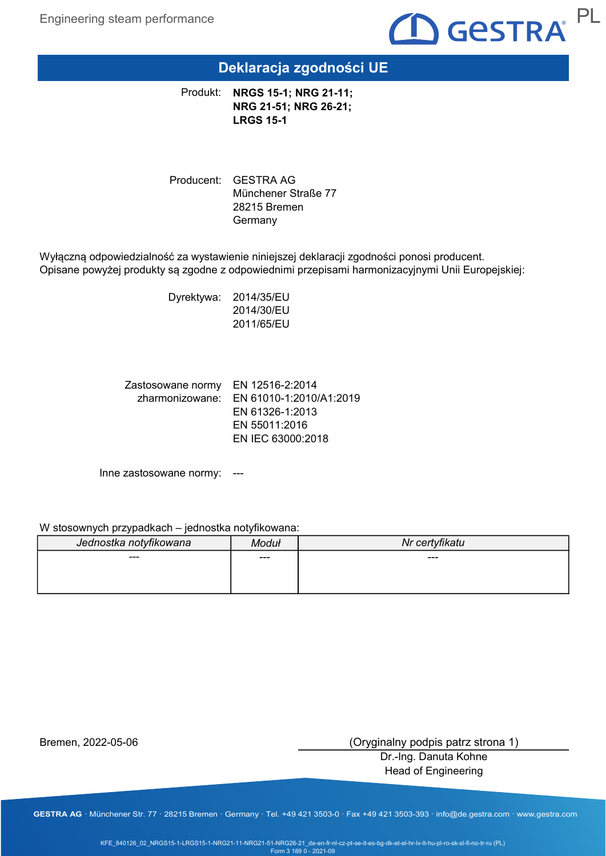

## Deklaracja zgodności UE

Produkt: NRGS 15-1; NRG 21-11; NRG 21-51; NRG 26-21; LRGS 15-1

Producent: GESTRA AG Münchener Straße 77 28215 Bremen Germany

Wyłączną odpowiedzialność za wystawienie niniejszej deklaracji zgodności ponosi producent. Opisane powyżej produkty są zgodne z odpowiednimi przepisami harmonizacyjnymi Unii Europejskiej:

> Dyrektywa: 2014/35/EU 2014/30/EU 2011/65/EU

Zastosowane normy EN 12516-2:2014 zharmonizowane: EN 61010-1:2010/A1:2019 EN 61326-1:2013 EN 55011:2016 EN IEC 63000:2018

Inne zastosowane normy: ---

#### W stosownych przypadkach – jednostka notyfikowana:

| Jednostka notyfikowana | Moduł | Nr certyfikatu |
|------------------------|-------|----------------|
| $---$                  | $---$ | ---            |
|                        |       |                |
|                        |       |                |

Bremen, 2022-05-06

(Oryginalny podpis patrz strona 1)

Dr.-Ing. Danuta Kohne Head of Engineering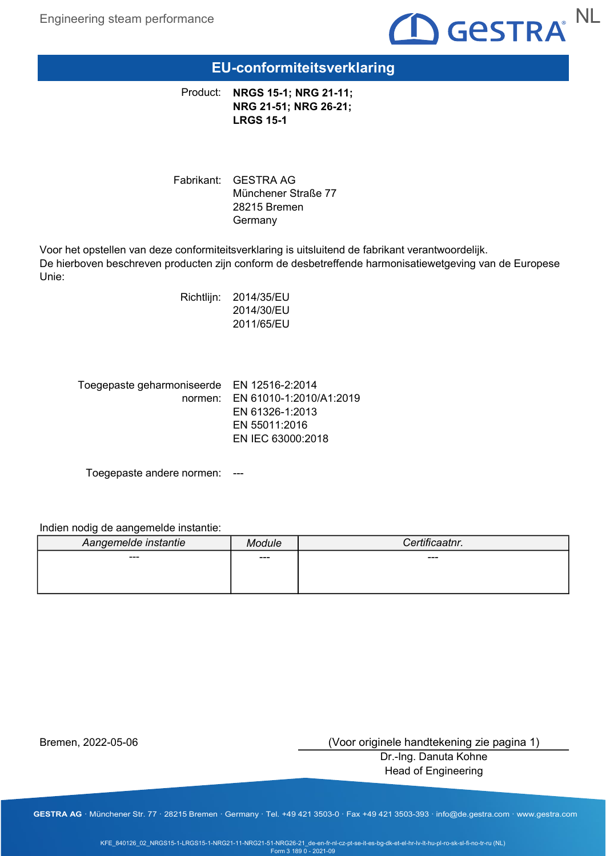

### EU-conformiteitsverklaring

Product: NRGS 15-1; NRG 21-11; NRG 21-51; NRG 26-21; LRGS 15-1

Fabrikant: GESTRA AG Münchener Straße 77 28215 Bremen **Germany** 

Voor het opstellen van deze conformiteitsverklaring is uitsluitend de fabrikant verantwoordelijk. De hierboven beschreven producten zijn conform de desbetreffende harmonisatiewetgeving van de Europese Unie:

> Richtlijn: 2014/35/EU 2014/30/EU 2011/65/EU

| Toegepaste geharmoniseerde EN 12516-2:2014 |
|--------------------------------------------|
| normen: EN 61010-1:2010/A1:2019            |
| EN 61326-1:2013                            |
| EN 55011:2016                              |
| EN IEC 63000:2018                          |
|                                            |

Toegepaste andere normen: ---

Indien nodig de aangemelde instantie:

| Aangemelde instantie | odule | Certificaatnr. |
|----------------------|-------|----------------|
| $--$                 | ---   | ---            |
|                      |       |                |
|                      |       |                |

Bremen, 2022-05-06

(Voor originele handtekening zie pagina 1)

Dr.-Ing. Danuta Kohne Head of Engineering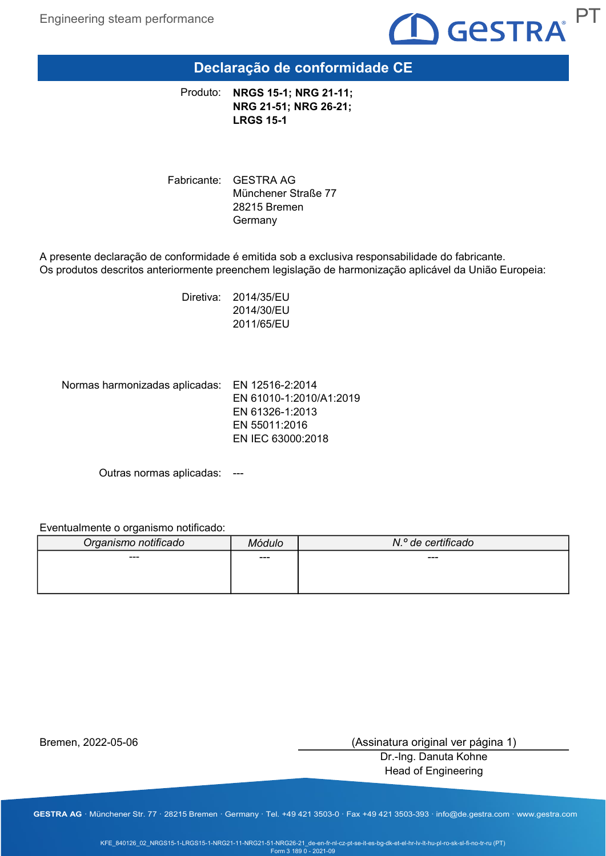

## Declaração de conformidade CE

NRGS 15-1; NRG 21-11; NRG 21-51; NRG 26-21; LRGS 15-1 Produto:

Fabricante: GESTRA AG Münchener Straße 77 28215 Bremen Germany

A presente declaração de conformidade é emitida sob a exclusiva responsabilidade do fabricante. Os produtos descritos anteriormente preenchem legislação de harmonização aplicável da União Europeia:

> Diretiva: 2014/35/EU 2014/30/EU 2011/65/EU

Normas harmonizadas aplicadas: EN 12516-2:2014

EN 61010-1:2010/A1:2019 EN 61326-1:2013 EN 55011:2016 EN IEC 63000:2018

Outras normas aplicadas: ---

#### Eventualmente o organismo notificado:

| Organismo notificado | 4ódulo | N.º de certificado |
|----------------------|--------|--------------------|
| ---                  | $--$   | ---                |
|                      |        |                    |
|                      |        |                    |

Bremen, 2022-05-06

(Assinatura original ver página 1)

Dr.-Ing. Danuta Kohne Head of Engineering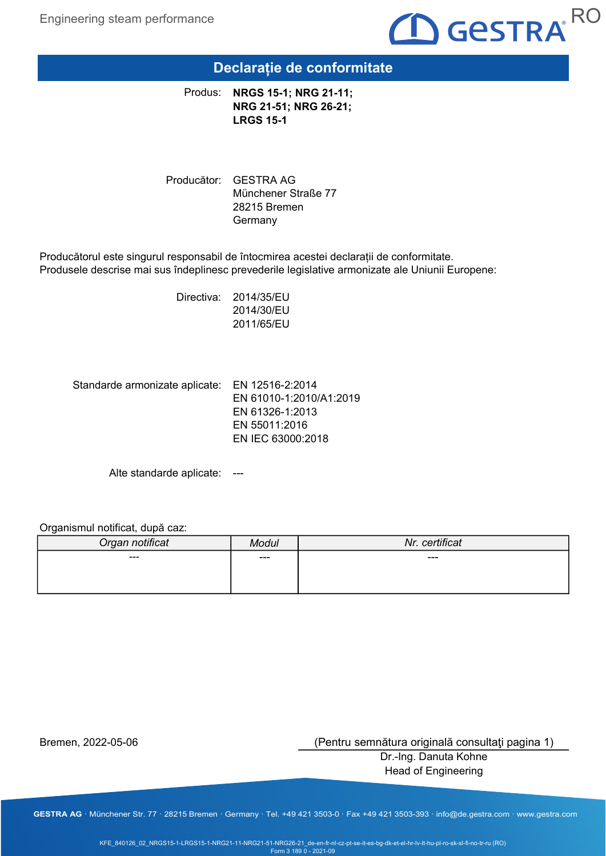

### Declarație de conformitate

Produs: NRGS 15-1; NRG 21-11; NRG 21-51; NRG 26-21; LRGS 15-1

Producător: GESTRA AG Münchener Straße 77 28215 Bremen Germany

Producătorul este singurul responsabil de întocmirea acestei declarații de conformitate. Produsele descrise mai sus îndeplinesc prevederile legislative armonizate ale Uniunii Europene:

> Directiva: 2014/35/EU 2014/30/EU 2011/65/EU

Standarde armonizate aplicate: EN 12516-2:2014

EN 61010-1:2010/A1:2019 EN 61326-1:2013 EN 55011:2016 EN IEC 63000:2018

Alte standarde aplicate: ---

#### Organismul notificat, după caz:

| Organ notificat | Modul | Nr. certificat |
|-----------------|-------|----------------|
| ---             | ---   | $---$          |
|                 |       |                |
|                 |       |                |

Bremen, 2022-05-06

(Pentru semnătura originală consultaţi pagina 1)

Dr.-Ing. Danuta Kohne Head of Engineering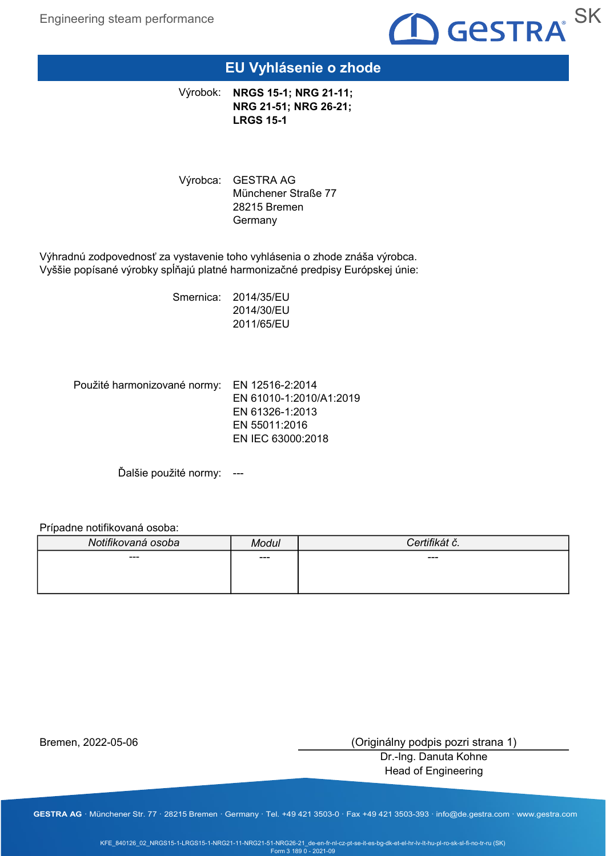

## EU Vyhlásenie o zhode

Výrobok: NRGS 15-1; NRG 21-11; NRG 21-51; NRG 26-21; LRGS 15-1

Výrobca: GESTRA AG Münchener Straße 77 28215 Bremen **Germany** 

Výhradnú zodpovednosť za vystavenie toho vyhlásenia o zhode znáša výrobca. Vyššie popísané výrobky spĺňajú platné harmonizačné predpisy Európskej únie:

> Smernica: 2014/35/EU 2014/30/EU 2011/65/EU

Použité harmonizované normy: EN 12516-2:2014 EN 61010-1:2010/A1:2019 EN 61326-1:2013 EN 55011:2016 EN IEC 63000:2018

Ďalšie použité normy: ---

#### Prípadne notifikovaná osoba:

| Modul | Certifikát č. |
|-------|---------------|
| ---   | ---           |
|       |               |
|       |               |

Bremen, 2022-05-06

(Originálny podpis pozri strana 1)

Dr.-Ing. Danuta Kohne Head of Engineering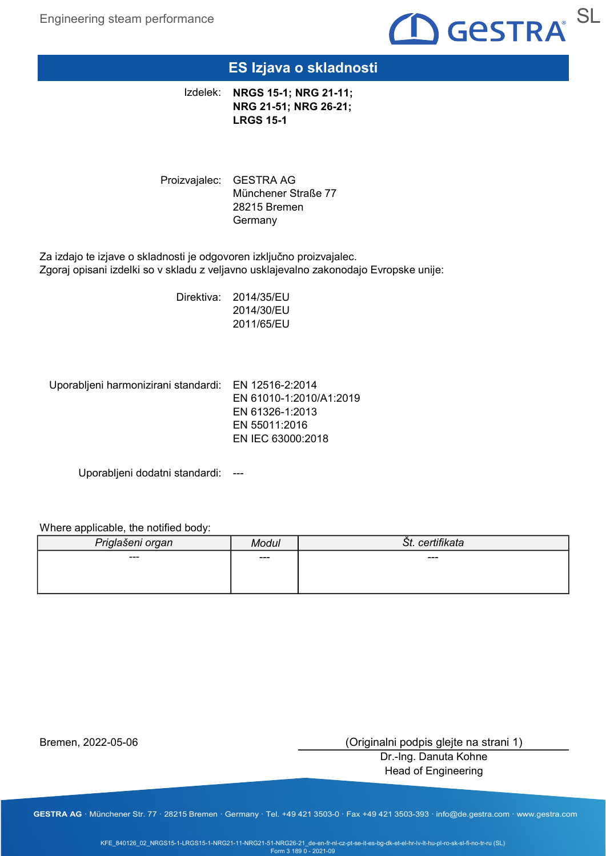

### ES Izjava o skladnosti

Izdelek: NRGS 15-1; NRG 21-11; NRG 21-51; NRG 26-21; LRGS 15-1

Proizvajalec: GESTRA AG Münchener Straße 77 28215 Bremen Germany

Za izdajo te izjave o skladnosti je odgovoren izključno proizvajalec. Zgoraj opisani izdelki so v skladu z veljavno usklajevalno zakonodajo Evropske unije:

> Direktiva: 2014/35/EU 2014/30/EU 2011/65/EU

Uporabljeni harmonizirani standardi: EN 12516-2:2014

EN 61010-1:2010/A1:2019 EN 61326-1:2013 EN 55011:2016 EN IEC 63000:2018

Uporabljeni dodatni standardi: ---

#### Where applicable, the notified body:

| Priglašeni organ | Modul | Št. certifikata |
|------------------|-------|-----------------|
| ---              | ---   | ---             |
|                  |       |                 |
|                  |       |                 |

Bremen, 2022-05-06

(Originalni podpis glejte na strani 1)

Dr.-Ing. Danuta Kohne Head of Engineering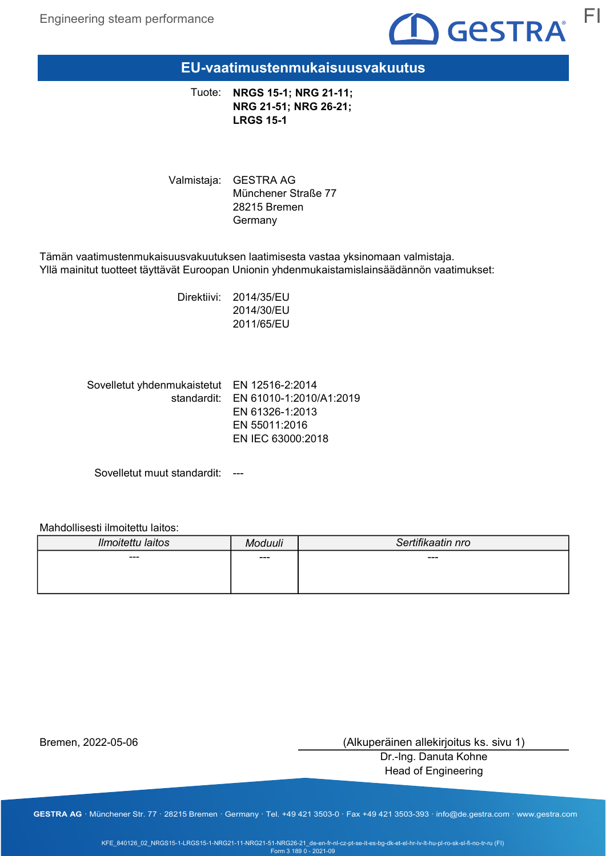

EU-vaatimustenmukaisuusvakuutus

Tuote: NRGS 15-1; NRG 21-11; NRG 21-51; NRG 26-21; LRGS 15-1

Valmistaja: GESTRA AG Münchener Straße 77 28215 Bremen Germany

Tämän vaatimustenmukaisuusvakuutuksen laatimisesta vastaa yksinomaan valmistaja. Yllä mainitut tuotteet täyttävät Euroopan Unionin yhdenmukaistamislainsäädännön vaatimukset:

> Direktiivi: 2014/35/EU 2014/30/EU 2011/65/EU

Sovelletut yhdenmukaistetut EN 12516-2:2014 standardit: EN 61010-1:2010/A1:2019 EN 61326-1:2013 EN 55011:2016 EN IEC 63000:2018

Sovelletut muut standardit: ---

Mahdollisesti ilmoitettu laitos:

| Ilmoitettu laitos | Moduuli | Sertifikaatin nro |
|-------------------|---------|-------------------|
| ---               | ---     | ---               |
|                   |         |                   |

Bremen, 2022-05-06

(Alkuperäinen allekirjoitus ks. sivu 1)

Dr.-Ing. Danuta Kohne Head of Engineering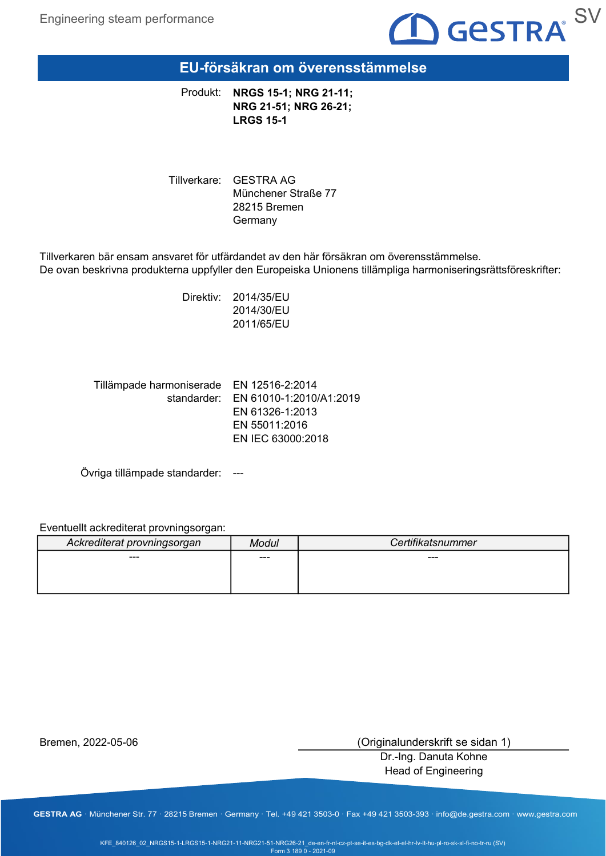

EU-försäkran om överensstämmelse

Produkt: NRGS 15-1; NRG 21-11; NRG 21-51; NRG 26-21; LRGS 15-1

Tillverkare: GESTRA AG Münchener Straße 77 28215 Bremen Germany

Tillverkaren bär ensam ansvaret för utfärdandet av den här försäkran om överensstämmelse. De ovan beskrivna produkterna uppfyller den Europeiska Unionens tillämpliga harmoniseringsrättsföreskrifter:

> Direktiv: 2014/35/EU 2014/30/EU 2011/65/EU

Tillämpade harmoniserade EN 12516-2:2014 standarder: EN 61010-1:2010/A1:2019 EN 61326-1:2013 EN 55011:2016 EN IEC 63000:2018

Övriga tillämpade standarder: ---

Eventuellt ackrediterat provningsorgan:

| Ackrediterat provningsorgan | Modul | Certifikatsnummer |
|-----------------------------|-------|-------------------|
| ---                         | ---   | ---               |
|                             |       |                   |
|                             |       |                   |

Bremen, 2022-05-06

(Originalunderskrift se sidan 1)

Dr.-Ing. Danuta Kohne Head of Engineering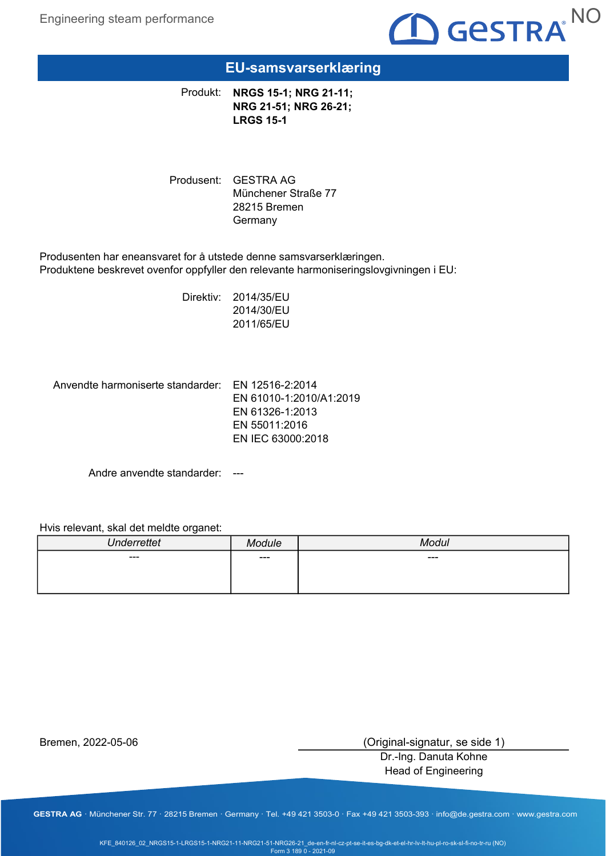

### EU-samsvarserklæring

Produkt: NRGS 15-1; NRG 21-11; NRG 21-51; NRG 26-21; LRGS 15-1

Produsent: GESTRA AG Münchener Straße 77 28215 Bremen **Germany** 

Produsenten har eneansvaret for å utstede denne samsvarserklæringen. Produktene beskrevet ovenfor oppfyller den relevante harmoniseringslovgivningen i EU:

> Direktiv: 2014/35/EU 2014/30/EU 2011/65/EU

Anvendte harmoniserte standarder: EN 12516-2:2014

EN 61010-1:2010/A1:2019 EN 61326-1:2013 EN 55011:2016 EN IEC 63000:2018

Andre anvendte standarder: ---

#### Hvis relevant, skal det meldte organet:

| <b>Underrettet</b> | د ماریام خ<br>11 L | $M$ ndul<br>uı |
|--------------------|--------------------|----------------|
| $\sim$ $\sim$      | $---$              | ---            |
|                    |                    |                |
|                    |                    |                |

Bremen, 2022-05-06

(Original-signatur, se side 1)

Dr.-Ing. Danuta Kohne Head of Engineering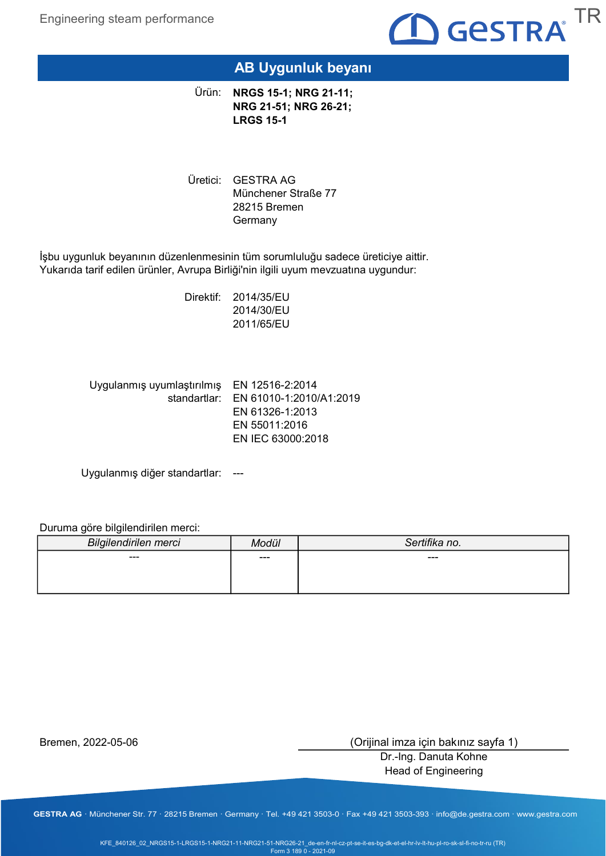

## AB Uygunluk beyanı

Ürün: **NRGS 15-1; NRG 21-11;** NRG 21-51; NRG 26-21; LRGS 15-1

Üretici: GESTRA AG Münchener Straße 77 28215 Bremen Germany

İşbu uygunluk beyanının düzenlenmesinin tüm sorumluluğu sadece üreticiye aittir. Yukarıda tarif edilen ürünler, Avrupa Birliği'nin ilgili uyum mevzuatına uygundur:

> Direktif: 2014/35/EU 2014/30/EU 2011/65/EU

Uygulanmış uyumlaştırılmış EN 12516-2:2014 standartlar: EN 61010-1:2010/A1:2019 EN 61326-1:2013 EN 55011:2016 EN IEC 63000:2018

Uygulanmış diğer standartlar: ---

Duruma göre bilgilendirilen merci:

| Bilgilendirilen merci | Modül | Sertifika no. |
|-----------------------|-------|---------------|
| ---                   | ---   | $---$         |
|                       |       |               |
|                       |       |               |

Bremen, 2022-05-06

(Orijinal imza için bakınız sayfa 1)

Dr.-Ing. Danuta Kohne Head of Engineering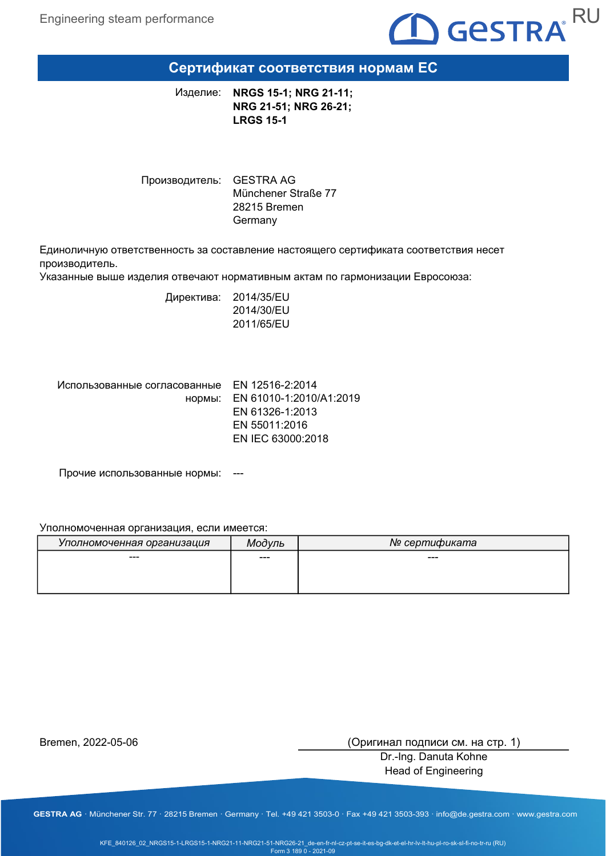

### Сертификат соответствия нормам ЕС

NRGS 15-1; NRG 21-11; NRG 21-51; NRG 26-21; LRGS 15-1 Изделие:

Производитель: GESTRA AG Münchener Straße 77 28215 Bremen Germany

Единоличную ответственность за составление настоящего сертификата соответствия несет производитель.

Указанные выше изделия отвечают нормативным актам по гармонизации Евросоюза:

Директива: 2014/35/EU 2014/30/EU 2011/65/EU

Использованные согласованные EN 12516-2:2014

нормы: EN 61010-1:2010/A1:2019 EN 61326-1:2013 EN 55011:2016 EN IEC 63000:2018

Прочие использованные нормы: ---

#### Уполномоченная организация, если имеется:

| Уполномоченная организация | Мод∨ль | № сертификата |
|----------------------------|--------|---------------|
| ---                        | ---    | ---           |
|                            |        |               |
|                            |        |               |

Bremen, 2022-05-06

(Оригинал подписи см. на стр. 1)

Dr.-Ing. Danuta Kohne Head of Engineering